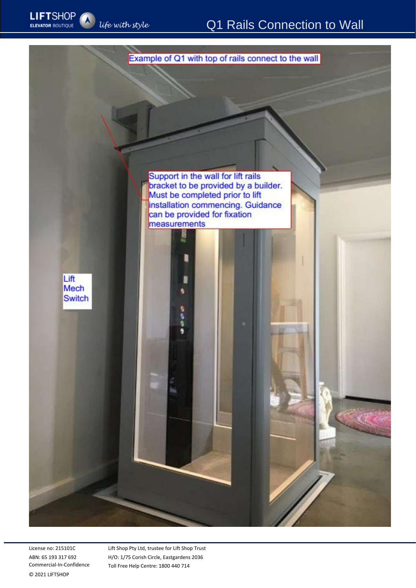

License no: 215101C ABN: 65 193 317 692 Commercial-In-Confidence © 2021 LIFTSHOP

Lift Shop Pty Ltd, trustee for Lift Shop Trust H/O: 1/75 Corish Circle, Eastgardens 2036 Toll Free Help Centre: 1800 440 714